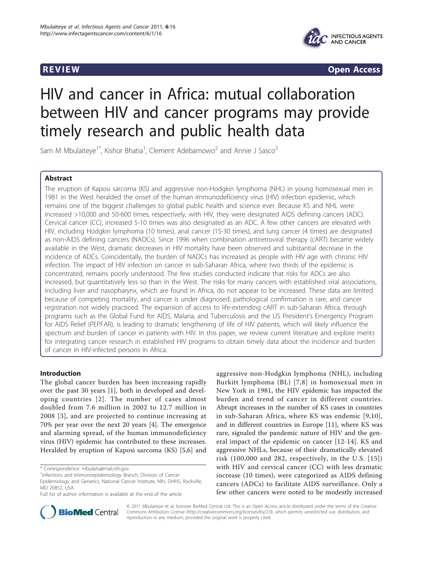

**REVIEW CONSTRUCTION CONSTRUCTION CONSTRUCTS** 

# HIV and cancer in Africa: mutual collaboration between HIV and cancer programs may provide timely research and public health data

Sam M Mbulaiteye<sup>1\*</sup>, Kishor Bhatia<sup>1</sup>, Clement Adebamowo<sup>2</sup> and Annie J Sasco<sup>3</sup>

# Abstract

The eruption of Kaposi sarcoma (KS) and aggressive non-Hodgkin lymphoma (NHL) in young homosexual men in 1981 in the West heralded the onset of the human immunodeficiency virus (HIV) infection epidemic, which remains one of the biggest challenges to global public health and science ever. Because KS and NHL were increased >10,000 and 50-600 times, respectively, with HIV, they were designated AIDS defining cancers (ADC). Cervical cancer (CC), increased 5-10 times was also designated as an ADC. A few other cancers are elevated with HIV, including Hodgkin lymphoma (10 times), anal cancer (15-30 times), and lung cancer (4 times) are designated as non-AIDS defining cancers (NADCs). Since 1996 when combination antiretroviral therapy (cART) became widely available in the West, dramatic decreases in HIV mortality have been observed and substantial decrease in the incidence of ADCs. Coincidentally, the burden of NADCs has increased as people with HIV age with chronic HIV infection. The impact of HIV infection on cancer in sub-Saharan Africa, where two thirds of the epidemic is concentrated, remains poorly understood. The few studies conducted indicate that risks for ADCs are also increased, but quantitatively less so than in the West. The risks for many cancers with established viral associations, including liver and nasopharynx, which are found in Africa, do not appear to be increased. These data are limited because of competing mortality, and cancer is under diagnosed, pathological confirmation is rare, and cancer registration not widely practiced. The expansion of access to life-extending cART in sub-Saharan Africa, through programs such as the Global Fund for AIDS, Malaria, and Tuberculosis and the US President's Emergency Program for AIDS Relief (PEPFAR), is leading to dramatic lengthening of life of HIV patients, which will likely influence the spectrum and burden of cancer in patients with HIV. In this paper, we review current literature and explore merits for integrating cancer research in established HIV programs to obtain timely data about the incidence and burden of cancer in HIV-infected persons in Africa.

# Introduction

The global cancer burden has been increasing rapidly over the past 30 years [\[1](#page-8-0)], both in developed and developing countries [[2\]](#page-8-0). The number of cases almost doubled from 7.6 million in 2002 to 12.7 million in 2008 [[3\]](#page-8-0), and are projected to continue increasing at 70% per year over the next 20 years [\[4\]](#page-8-0). The emergence and alarming spread, of the human immunodeficiency virus (HIV) epidemic has contributed to these increases. Heralded by eruption of Kaposi sarcoma (KS) [\[5](#page-8-0),[6\]](#page-8-0) and

\* Correspondence: [mbulaits@mail.nih.gov](mailto:mbulaits@mail.nih.gov)

aggressive non-Hodgkin lymphoma (NHL), including Burkitt lymphoma (BL) [[7,8](#page-8-0)] in homosexual men in New York in 1981, the HIV epidemic has impacted the burden and trend of cancer in different countries. Abrupt increases in the number of KS cases in countries in sub-Saharan Africa, where KS was endemic [[9](#page-8-0),[10\]](#page-8-0), and in different countries in Europe [[11\]](#page-8-0), where KS was rare, signaled the pandemic nature of HIV and the general impact of the epidemic on cancer [[12-14\]](#page-8-0). KS and aggressive NHLs, because of their dramatically elevated risk (100,000 and 282, respectively, in the U.S. [[15\]](#page-8-0)) with HIV and cervical cancer (CC) with less dramatic increase (10 times), were categorized as AIDS defining cancers (ADCs) to facilitate AIDS surveillance. Only a few other cancers were noted to be modestly increased



© 2011 Mbulaiteye et al; licensee BioMed Central Ltd. This is an Open Access article distributed under the terms of the Creative Commons Attribution License [\(http://creativecommons.org/licenses/by/2.0](http://creativecommons.org/licenses/by/2.0)), which permits unrestricted use, distribution, and reproduction in any medium, provided the original work is properly cited.

<sup>&</sup>lt;sup>1</sup>Infections and Immunoepidemiology Branch, Division of Cancer Epidemiology and Genetics, National Cancer Institute, NIH, DHHS, Rockville, MD 20852, USA

Full list of author information is available at the end of the article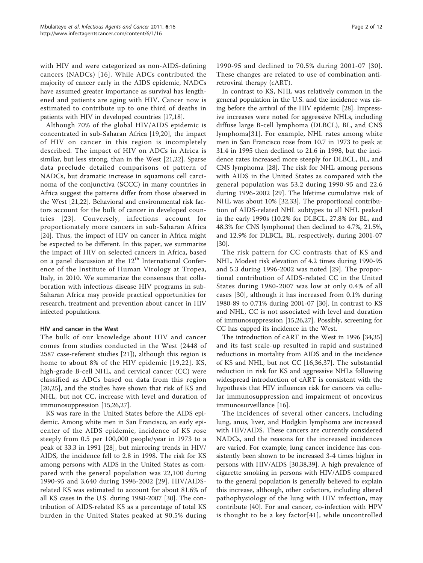with HIV and were categorized as non-AIDS-defining cancers (NADCs) [[16](#page-8-0)]. While ADCs contributed the majority of cancer early in the AIDS epidemic, NADCs have assumed greater importance as survival has lengthened and patients are aging with HIV. Cancer now is estimated to contribute up to one third of deaths in patients with HIV in developed countries [[17,18\]](#page-8-0).

Although 70% of the global HIV/AIDS epidemic is concentrated in sub-Saharan Africa [[19,20](#page-8-0)], the impact of HIV on cancer in this region is incompletely described. The impact of HIV on ADCs in Africa is similar, but less strong, than in the West [\[21,22](#page-8-0)]. Sparse data preclude detailed comparisons of pattern of NADCs, but dramatic increase in squamous cell carcinoma of the conjunctiva (SCCC) in many countries in Africa suggest the patterns differ from those observed in the West [\[21,22](#page-8-0)]. Behavioral and environmental risk factors account for the bulk of cancer in developed countries [[23\]](#page-8-0). Conversely, infections account for proportionately more cancers in sub-Saharan Africa [[24\]](#page-8-0). Thus, the impact of HIV on cancer in Africa might be expected to be different. In this paper, we summarize the impact of HIV on selected cancers in Africa, based on a panel discussion at the  $12<sup>th</sup>$  International Conference of the Institute of Human Virology at Tropea, Italy, in 2010. We summarize the consensus that collaboration with infectious disease HIV programs in sub-Saharan Africa may provide practical opportunities for research, treatment and prevention about cancer in HIV infected populations.

# HIV and cancer in the West

The bulk of our knowledge about HIV and cancer comes from studies conducted in the West (2448 of 2587 case-referent studies [\[21](#page-8-0)]), although this region is home to about 8% of the HIV epidemic [[19](#page-8-0),[22](#page-8-0)]. KS, high-grade B-cell NHL, and cervical cancer (CC) were classified as ADCs based on data from this region [[20,25](#page-8-0)], and the studies have shown that risk of KS and NHL, but not CC, increase with level and duration of immunosuppression [[15](#page-8-0),[26,27](#page-8-0)].

KS was rare in the United States before the AIDS epidemic. Among white men in San Francisco, an early epicenter of the AIDS epidemic, incidence of KS rose steeply from 0.5 per 100,000 people/year in 1973 to a peak of 33.3 in 1991 [[28\]](#page-8-0), but mirroring trends in HIV/ AIDS, the incidence fell to 2.8 in 1998. The risk for KS among persons with AIDS in the United States as compared with the general population was 22,100 during 1990-95 and 3,640 during 1996-2002 [[29\]](#page-8-0). HIV/AIDSrelated KS was estimated to account for about 81.6% of all KS cases in the U.S. during 1980-2007 [\[30](#page-8-0)]. The contribution of AIDS-related KS as a percentage of total KS burden in the United States peaked at 90.5% during Page 2 of 12

1990-95 and declined to 70.5% during 2001-07 [[30\]](#page-8-0). These changes are related to use of combination antiretroviral therapy (cART).

In contrast to KS, NHL was relatively common in the general population in the U.S. and the incidence was rising before the arrival of the HIV epidemic [[28](#page-8-0)]. Impressive increases were noted for aggressive NHLs, including diffuse large B-cell lymphoma (DLBCL), BL, and CNS lymphoma[[31\]](#page-8-0). For example, NHL rates among white men in San Francisco rose from 10.7 in 1973 to peak at 31.4 in 1995 then declined to 21.6 in 1998, but the incidence rates increased more steeply for DLBCL, BL, and CNS lymphoma [[28](#page-8-0)]. The risk for NHL among persons with AIDS in the United States as compared with the general population was 53.2 during 1990-95 and 22.6 during 1996-2002 [[29](#page-8-0)]. The lifetime cumulative risk of NHL was about 10% [\[32,33\]](#page-8-0). The proportional contribution of AIDS-related NHL subtypes to all NHL peaked in the early 1990s (10.2% for DLBCL, 27.8% for BL, and 48.3% for CNS lymphoma) then declined to 4.7%, 21.5%, and 12.9% for DLBCL, BL, respectively, during 2001-07 [[30\]](#page-8-0).

The risk pattern for CC contrasts that of KS and NHL. Modest risk elevation of 4.2 times during 1990-95 and 5.3 during 1996-2002 was noted [[29](#page-8-0)]. The proportional contribution of AIDS-related CC in the United States during 1980-2007 was low at only 0.4% of all cases [[30](#page-8-0)], although it has increased from 0.1% during 1980-89 to 0.71% during 2001-07 [[30\]](#page-8-0). In contrast to KS and NHL, CC is not associated with level and duration of immunosuppression [[15,26,27\]](#page-8-0). Possibly, screening for CC has capped its incidence in the West.

The introduction of cART in the West in 1996 [[34,35](#page-8-0)] and its fast scale-up resulted in rapid and sustained reductions in mortality from AIDS and in the incidence of KS and NHL, but not CC [[16,36,37](#page-8-0)]. The substantial reduction in risk for KS and aggressive NHLs following widespread introduction of cART is consistent with the hypothesis that HIV influences risk for cancers via cellular immunosuppression and impairment of oncovirus immunosurveillance [\[16](#page-8-0)].

The incidences of several other cancers, including lung, anus, liver, and Hodgkin lymphoma are increased with HIV/AIDS. These cancers are currently considered NADCs, and the reasons for the increased incidences are varied. For example, lung cancer incidence has consistently been shown to be increased 3-4 times higher in persons with HIV/AIDS [\[30,38,39](#page-8-0)]. A high prevalence of cigarette smoking in persons with HIV/AIDS compared to the general population is generally believed to explain this increase, although, other cofactors, including altered pathophysiology of the lung with HIV infection, may contribute [\[40](#page-9-0)]. For anal cancer, co-infection with HPV is thought to be a key factor[[41](#page-9-0)], while uncontrolled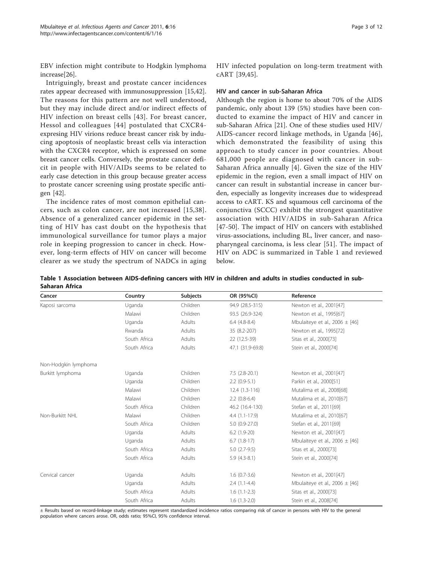<span id="page-2-0"></span>EBV infection might contribute to Hodgkin lymphoma increase[[26](#page-8-0)].

Intriguingly, breast and prostate cancer incidences rates appear decreased with immunosuppression [[15](#page-8-0)[,42](#page-9-0)]. The reasons for this pattern are not well understood, but they may include direct and/or indirect effects of HIV infection on breast cells [[43](#page-9-0)]. For breast cancer, Hessol and colleagues [[44](#page-9-0)] postulated that CXCR4 expresing HIV virions reduce breast cancer risk by inducing apoptosis of neoplastic breast cells via interaction with the CXCR4 receptor, which is expressed on some breast cancer cells. Conversely, the prostate cancer deficit in people with HIV/AIDs seems to be related to early case detection in this group because greater access to prostate cancer screening using prostate specific antigen [[42](#page-9-0)].

The incidence rates of most common epithelial cancers, such as colon cancer, are not increased [[15](#page-8-0),[38\]](#page-8-0). Absence of a generalized cancer epidemic in the setting of HIV has cast doubt on the hypothesis that immunological surveillance for tumor plays a major role in keeping progression to cancer in check. However, long-term effects of HIV on cancer will become clearer as we study the spectrum of NADCs in aging HIV infected population on long-term treatment with cART [[39,](#page-8-0)[45\]](#page-9-0).

#### HIV and cancer in sub-Saharan Africa

Although the region is home to about 70% of the AIDS pandemic, only about 139 (5%) studies have been conducted to examine the impact of HIV and cancer in sub-Saharan Africa [\[21](#page-8-0)]. One of these studies used HIV/ AIDS-cancer record linkage methods, in Uganda [[46](#page-9-0)], which demonstrated the feasibility of using this approach to study cancer in poor countries. About 681,000 people are diagnosed with cancer in sub-Saharan Africa annually [[4\]](#page-8-0). Given the size of the HIV epidemic in the region, even a small impact of HIV on cancer can result in substantial increase in cancer burden, especially as longevity increases due to widespread access to cART. KS and squamous cell carcinoma of the conjunctiva (SCCC) exhibit the strongest quantitative association with HIV/AIDS in sub-Saharan Africa [[47-50](#page-9-0)]. The impact of HIV on cancers with established virus-associations, including BL, liver cancer, and nasopharyngeal carcinoma, is less clear [[51](#page-9-0)]. The impact of HIV on ADC is summarized in Table 1 and reviewed below.

Table 1 Association between AIDS-defining cancers with HIV in children and adults in studies conducted in sub-Saharan Africa

| Cancer               | Country      | <b>Subjects</b> | OR (95%CI)       | Reference                          |
|----------------------|--------------|-----------------|------------------|------------------------------------|
| Kaposi sarcoma       | Uganda       | Children        | 94.9 (28.5-315)  | Newton et al., 2001[47]            |
|                      | Malawi       | Children        | 93.5 (26.9-324)  | Newton et al., 1995[67]            |
|                      | Uganda       | Adults          | $6.4(4.8-8.4)$   | Mbulaiteye et al., 2006 $\pm$ [46] |
|                      | Rwanda       | Adults          | 35 (8.2-207)     | Newton et al., 1995[72]            |
|                      | South Africa | Adults          | 22 (12.5-39)     | Sitas et al., 2000[73]             |
|                      | South Africa | Adults          | 47.1 (31.9-69.8) | Stein et al., 2000[74]             |
| Non-Hodgkin lymphoma |              |                 |                  |                                    |
| Burkitt lymphoma     | Uganda       | Children        | $7.5(2.8-20.1)$  | Newton et al., 2001[47]            |
|                      | Uganda       | Children        | $2.2$ (0.9-5.1)  | Parkin et al., 2000[51]            |
|                      | Malawi       | Children        | $12.4(1.3-116)$  | Mutalima et al., 2008[68]          |
|                      | Malawi       | Children        | $2.2$ (0.8-6.4)  | Mutalima et al., 2010[67]          |
|                      | South Africa | Children        | 46.2 (16.4-130)  | Stefan et al., 2011[69]            |
| Non-Burkitt NHL      | Malawi       | Children        | $4.4(1.1-17.9)$  | Mutalima et al., 2010[67]          |
|                      | South Africa | Children        | $5.0(0.9-27.0)$  | Stefan et al., 2011[69]            |
|                      | Uganda       | Adults          | $6.2$ $(1.9-20)$ | Newton et al., 2001[47]            |
|                      | Uganda       | Adults          | $6.7(1.8-17)$    | Mbulaiteye et al., 2006 $\pm$ [46] |
|                      | South Africa | Adults          | $5.0(2.7-9.5)$   | Sitas et al., 2000[73]             |
|                      | South Africa | Adults          | $5.9(4.3-8.1)$   | Stein et al., 2000[74]             |
| Cervical cancer      | Uganda       | Adults          | $1.6(0.7-3.6)$   | Newton et al., 2001[47]            |
|                      | Uganda       | Adults          | $2.4(1.1-4.4)$   | Mbulaiteye et al., 2006 $\pm$ [46] |
|                      | South Africa | Adults          | $1.6(1.1-2.3)$   | Sitas et al., 2000[73]             |
|                      | South Africa | Adults          | $1.6(1.3-2.0)$   | Stein et al., 2008[74]             |

± Results based on record-linkage study; estimates represent standardized incidence ratios comparing risk of cancer in persons with HIV to the general population where cancers arose. OR, odds ratio; 95%CI, 95% confidence interval.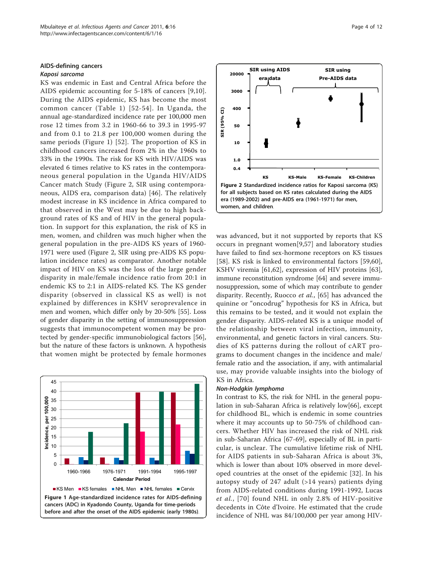# <span id="page-3-0"></span>AIDS-defining cancers

#### Kaposi sarcoma

KS was endemic in East and Central Africa before the AIDS epidemic accounting for 5-18% of cancers [[9,10](#page-8-0)]. During the AIDS epidemic, KS has become the most common cancer (Table [1](#page-2-0)) [[52-54\]](#page-9-0). In Uganda, the annual age-standardized incidence rate per 100,000 men rose 12 times from 3.2 in 1960-66 to 39.3 in 1995-97 and from 0.1 to 21.8 per 100,000 women during the same periods (Figure 1) [[52\]](#page-9-0). The proportion of KS in childhood cancers increased from 2% in the 1960s to 33% in the 1990s. The risk for KS with HIV/AIDS was elevated 6 times relative to KS rates in the contemporaneous general population in the Uganda HIV/AIDS Cancer match Study (Figure 2, SIR using contemporaneous, AIDS era, comparison data) [[46](#page-9-0)]. The relatively modest increase in KS incidence in Africa compared to that observed in the West may be due to high background rates of KS and of HIV in the general population. In support for this explanation, the risk of KS in men, women, and children was much higher when the general population in the pre-AIDS KS years of 1960- 1971 were used (Figure 2, SIR using pre-AIDS KS population incidence rates) as comparator. Another notable impact of HIV on KS was the loss of the large gender disparity in male/female incidence ratio from 20:1 in endemic KS to 2:1 in AIDS-related KS. The KS gender disparity (observed in classical KS as well) is not explained by differences in KSHV seroprevalence in men and women, which differ only by 20-50% [[55\]](#page-9-0). Loss of gender disparity in the setting of immunosuppression suggests that immunocompetent women may be protected by gender-specific immunobiological factors [\[56](#page-9-0)], but the nature of these factors is unknown. A hypothesis that women might be protected by female hormones





was advanced, but it not supported by reports that KS occurs in pregnant women[[9](#page-8-0)[,57](#page-9-0)] and laboratory studies have failed to find sex-hormone receptors on KS tissues [[58](#page-9-0)]. KS risk is linked to environmental factors [[59,60](#page-9-0)], KSHV viremia [[61,62\]](#page-9-0), expression of HIV proteins [\[63](#page-9-0)], immune reconstitution syndrome [\[64](#page-9-0)] and severe immunosuppression, some of which may contribute to gender disparity. Recently, Ruocco et al., [\[65](#page-9-0)] has advanced the quinine or "oncodrug" hypothesis for KS in Africa, but this remains to be tested, and it would not explain the gender disparity. AIDS-related KS is a unique model of the relationship between viral infection, immunity, environmental, and genetic factors in viral cancers. Studies of KS patterns during the rollout of cART programs to document changes in the incidence and male/ female ratio and the association, if any, with antimalarial use, may provide valuable insights into the biology of KS in Africa.

#### Non-Hodgkin lymphoma

In contrast to KS, the risk for NHL in the general population in sub-Saharan Africa is relatively low[\[66](#page-9-0)], except for childhood BL, which is endemic in some countries where it may accounts up to 50-75% of childhood cancers. Whether HIV has increased the risk of NHL risk in sub-Saharan Africa [[67-69](#page-9-0)], especially of BL in particular, is unclear. The cumulative lifetime risk of NHL for AIDS patients in sub-Saharan Africa is about 3%, which is lower than about 10% observed in more developed countries at the onset of the epidemic [[32\]](#page-8-0). In his autopsy study of  $247$  adult (>14 years) patients dying from AIDS-related conditions during 1991-1992, Lucas et al., [[70](#page-9-0)] found NHL in only 2.8% of HIV-positive decedents in Côte d'Ivoire. He estimated that the crude incidence of NHL was 84/100,000 per year among HIV-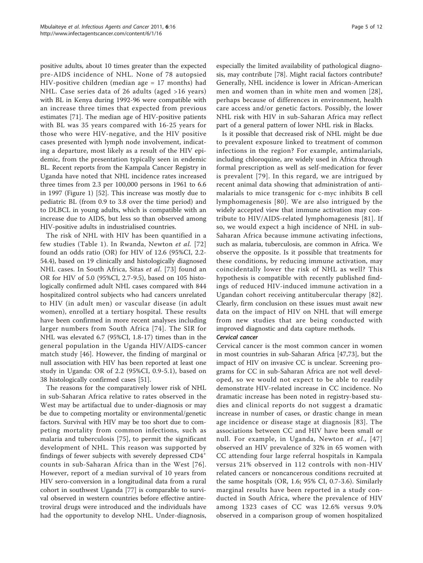positive adults, about 10 times greater than the expected pre-AIDS incidence of NHL. None of 78 autopsied HIV-positive children (median age = 17 months) had NHL. Case series data of 26 adults (aged >16 years) with BL in Kenya during 1992-96 were compatible with an increase three times that expected from previous estimates [\[71](#page-9-0)]. The median age of HIV-positive patients with BL was 35 years compared with 16-25 years for those who were HIV-negative, and the HIV positive cases presented with lymph node involvement, indicating a departure, most likely as a result of the HIV epidemic, from the presentation typically seen in endemic BL. Recent reports from the Kampala Cancer Registry in Uganda have noted that NHL incidence rates increased three times from 2.3 per 100,000 persons in 1961 to 6.6 in 1997 (Figure [1](#page-3-0)) [\[52\]](#page-9-0). This increase was mostly due to pediatric BL (from 0.9 to 3.8 over the time period) and to DLBCL in young adults, which is compatible with an increase due to AIDS, but less so than observed among HIV-positive adults in industrialised countries.

The risk of NHL with HIV has been quantified in a few studies (Table [1](#page-2-0)). In Rwanda, Newton et al. [[72](#page-9-0)] found an odds ratio (OR) for HIV of 12.6 (95%CI, 2.2- 54.4), based on 19 clinically and histologically diagnosed NHL cases. In South Africa, Sitas et al. [[73](#page-9-0)] found an OR for HIV of 5.0 (95%CI, 2.7-9.5), based on 105 histologically confirmed adult NHL cases compared with 844 hospitalized control subjects who had cancers unrelated to HIV (in adult men) or vascular disease (in adult women), enrolled at a tertiary hospital. These results have been confirmed in more recent analyses including larger numbers from South Africa [\[74](#page-9-0)]. The SIR for NHL was elevated 6.7 (95%CI, 1.8-17) times than in the general population in the Uganda HIV/AIDS-cancer match study [[46](#page-9-0)]. However, the finding of marginal or null association with HIV has been reported at least one study in Uganda: OR of 2.2 (95%CI, 0.9-5.1), based on 38 histologically confirmed cases [[51](#page-9-0)].

The reasons for the comparatively lower risk of NHL in sub-Saharan Africa relative to rates observed in the West may be artifactual due to under-diagnosis or may be due to competing mortality or environmental/genetic factors. Survival with HIV may be too short due to competing mortality from common infections, such as malaria and tuberculosis [[75\]](#page-9-0), to permit the significant development of NHL. This reason was supported by findings of fewer subjects with severely depressed CD4<sup>+</sup> counts in sub-Saharan Africa than in the West [[76\]](#page-9-0). However, report of a median survival of 10 years from HIV sero-conversion in a longitudinal data from a rural cohort in southwest Uganda [\[77](#page-9-0)] is comparable to survival observed in western countries before effective antiretroviral drugs were introduced and the individuals have had the opportunity to develop NHL. Under-diagnosis,

especially the limited availability of pathological diagnosis, may contribute [[78](#page-9-0)]. Might racial factors contribute? Generally, NHL incidence is lower in African-American men and women than in white men and women [[28](#page-8-0)], perhaps because of differences in environment, health care access and/or genetic factors. Possibly, the lower NHL risk with HIV in sub-Saharan Africa may reflect part of a general pattern of lower NHL risk in Blacks.

Is it possible that decreased risk of NHL might be due to prevalent exposure linked to treatment of common infections in the region? For example, antimalarials, including chloroquine, are widely used in Africa through formal prescription as well as self-medication for fever is prevalent [[79](#page-9-0)]. In this regard, we are intrigued by recent animal data showing that administration of antimalarials to mice transgenic for c-myc inhibits B cell lymphomagenesis [[80](#page-9-0)]. We are also intrigued by the widely accepted view that immune activation may contribute to HIV/AIDS-related lymphomagenesis [[81\]](#page-9-0). If so, we would expect a high incidence of NHL in sub-Saharan Africa because immune activating infections, such as malaria, tuberculosis, are common in Africa. We observe the opposite. Is it possible that treatments for these conditions, by reducing immune activation, may coincidentally lower the risk of NHL as well? This hypothesis is compatible with recently published findings of reduced HIV-induced immune activation in a Ugandan cohort receiving antitubercular therapy [[82](#page-9-0)]. Clearly, firm conclusion on these issues must await new data on the impact of HIV on NHL that will emerge from new studies that are being conducted with improved diagnostic and data capture methods.

# Cervical cancer

Cervical cancer is the most common cancer in women in most countries in sub-Saharan Africa [\[47,73\]](#page-9-0), but the impact of HIV on invasive CC is unclear. Screening programs for CC in sub-Saharan Africa are not well developed, so we would not expect to be able to readily demonstrate HIV-related increase in CC incidence. No dramatic increase has been noted in registry-based studies and clinical reports do not suggest a dramatic increase in number of cases, or drastic change in mean age incidence or disease stage at diagnosis [[83](#page-10-0)]. The associations between CC and HIV have been small or null. For example, in Uganda, Newton et al., [[47](#page-9-0)] observed an HIV prevalence of 32% in 65 women with CC attending four large referral hospitals in Kampala versus 21% observed in 112 controls with non-HIV related cancers or noncancerous conditions recruited at the same hospitals (OR, 1.6; 95% CI, 0.7-3.6). Similarly marginal results have been reported in a study conducted in South Africa, where the prevalence of HIV among 1323 cases of CC was 12.6% versus 9.0% observed in a comparison group of women hospitalized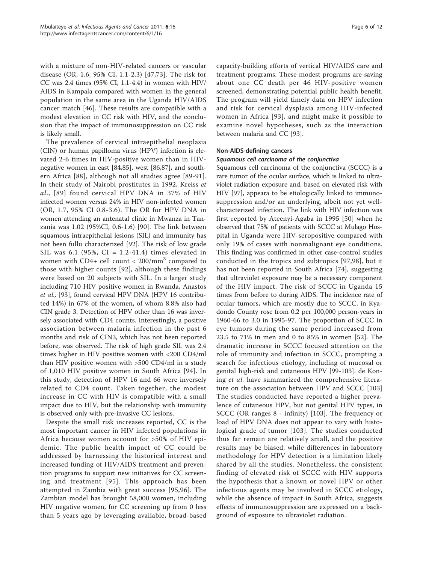with a mixture of non-HIV-related cancers or vascular disease (OR, 1.6; 95% CI, 1.1-2.3) [\[47](#page-9-0),[73\]](#page-9-0). The risk for CC was 2.4 times (95% CI, 1.1-4.4) in women with HIV/ AIDS in Kampala compared with women in the general population in the same area in the Uganda HIV/AIDS cancer match [\[46](#page-9-0)]. These results are compatible with a modest elevation in CC risk with HIV, and the conclusion that the impact of immunosuppression on CC risk is likely small.

The prevalence of cervical intraepithelial neoplasia (CIN) or human papilloma virus (HPV) infection is elevated 2-6 times in HIV-positive women than in HIVnegative women in east [\[84,85](#page-10-0)], west [\[86,87](#page-10-0)], and southern Africa [[88](#page-10-0)], although not all studies agree [[89](#page-10-0)-[91](#page-10-0)]. In their study of Nairobi prostitutes in 1992, Kreiss et al., [[89\]](#page-10-0) found cervical HPV DNA in 37% of HIV infected women versus 24% in HIV non-infected women (OR, 1.7, 95% CI 0.8-3.6). The OR for HPV DNA in women attending an antenatal clinic in Mwanza in Tanzania was 1.02 (95%CI, 0.6-1.6) [[90](#page-10-0)]. The link between squamous intraepithelial lesions (SIL) and immunity has not been fullu characterized [[92\]](#page-10-0). The risk of low grade SIL was 6.1 (95%, CI =  $1.2-41.4$ ) times elevated in women with CD4+ cell count  $<$  200/mm<sup>3</sup> compared to those with higher counts [[92](#page-10-0)], although these findings were based on 20 subjects with SIL. In a larger study including 710 HIV positive women in Rwanda, Anastos et al., [[93\]](#page-10-0), found cervical HPV DNA (HPV 16 contributed 14%) in 67% of the women, of whom 8.8% also had CIN grade 3. Detection of HPV other than 16 was inversely associated with CD4 counts. Interestingly, a positive association between malaria infection in the past 6 months and risk of CIN3, which has not been reported before, was observed. The risk of high grade SIL was 2.4 times higher in HIV positive women with <200 CD4/ml than HIV positive women with >500 CD4/ml in a study of 1,010 HIV positive women in South Africa [[94](#page-10-0)]. In this study, detection of HPV 16 and 66 were inversely related to CD4 count. Taken together, the modest increase in CC with HIV is compatible with a small impact due to HIV, but the relationship with immunity is observed only with pre-invasive CC lesions.

Despite the small risk increases reported, CC is the most important cancer in HIV infected populations in Africa because women account for >50% of HIV epidemic. The public health impact of CC could be addressed by harnessing the historical interest and increased funding of HIV/AIDS treatment and prevention programs to support new initiatives for CC screening and treatment [[95\]](#page-10-0). This approach has been attempted in Zambia with great success [[95](#page-10-0),[96](#page-10-0)]. The Zambian model has brought 58,000 women, including HIV negative women, for CC screening up from 0 less than 5 years ago by leveraging available, broad-based

capacity-building efforts of vertical HIV/AIDS care and treatment programs. These modest programs are saving about one CC death per 46 HIV-positive women screened, demonstrating potential public health benefit. The program will yield timely data on HPV infection and risk for cervical dysplasia among HIV-infected women in Africa [[93](#page-10-0)], and might make it possible to examine novel hypotheses, such as the interaction between malaria and CC [[93](#page-10-0)].

# Non-AIDS-defining cancers

#### Squamous cell carcinoma of the conjunctiva

Squamous cell carcinoma of the conjunctiva (SCCC) is a rare tumor of the ocular surface, which is linked to ultraviolet radiation exposure and, based on elevated risk with HIV [[97\]](#page-10-0), appeara to be etiologically linked to immunosuppression and/or an underlying, albeit not yet wellcharacterized infection. The link with HIV infection was first reported by Ateenyi-Agaba in 1995 [[50](#page-9-0)] when he observed that 75% of patients with SCCC at Mulago Hospital in Uganda were HIV-seropositive compared with only 19% of cases with nonmalignant eye conditions. This finding was confirmed in other case-control studies conducted in the tropics and subtropics [\[97](#page-10-0),[98\]](#page-10-0), but it has not been reported in South Africa [\[74\]](#page-9-0), suggesting that ultraviolet exposure may be a necessary component of the HIV impact. The risk of SCCC in Uganda 15 times from before to during AIDS. The incidence rate of ocular tumors, which are mostly due to SCCC, in Kyadondo County rose from 0.2 per 100,000 person-years in 1960-66 to 3.0 in 1995-97. The proportion of SCCC in eye tumors during the same period increased from 23.5 to 71% in men and 0 to 85% in women [[52\]](#page-9-0). The dramatic increase in SCCC focused attention on the role of immunity and infection in SCCC, prompting a search for infectious etiology, including of mucosal or genital high-risk and cutaneous HPV [\[99](#page-10-0)-[103\]](#page-10-0). de Koning et al. have summarized the comprehensive literature on the association between HPV and SCCC [\[103](#page-10-0)] The studies conducted have reported a higher prevalence of cutaneous HPV, but not genital HPV types, in SCCC (OR ranges 8 - infinity) [[103\]](#page-10-0). The frequency or load of HPV DNA does not appear to vary with histological grade of tumor [[103\]](#page-10-0). The studies conducted thus far remain are relatively small, and the positive results may be biased, while differences in laboratory methodology for HPV detection is a limitation likely shared by all the studies. Nonetheless, the consistent finding of elevated risk of SCCC with HIV supports the hypothesis that a known or novel HPV or other infectious agents may be involved in SCCC etiology, while the absence of impact in South Africa, suggests effects of immunosuppression are expressed on a background of exposure to ultraviolet radiation.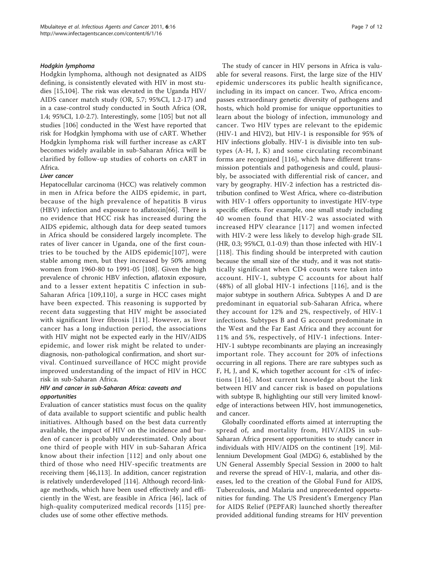#### Hodgkin lymphoma

Hodgkin lymphoma, although not designated as AIDS defining, is consistently elevated with HIV in most studies [\[15](#page-8-0)[,104\]](#page-10-0). The risk was elevated in the Uganda HIV/ AIDS cancer match study (OR, 5.7; 95%CI, 1.2-17) and in a case-control study conducted in South Africa (OR, 1.4; 95%CI, 1.0-2.7). Interestingly, some [\[105\]](#page-10-0) but not all studies [\[106\]](#page-10-0) conducted in the West have reported that risk for Hodgkin lymphoma with use of cART. Whether Hodgkin lymphoma risk will further increase as cART becomes widely available in sub-Saharan Africa will be clarified by follow-up studies of cohorts on cART in Africa.

#### Liver cancer

Hepatocellular carcinoma (HCC) was relatively common in men in Africa before the AIDS epidemic, in part, because of the high prevalence of hepatitis B virus (HBV) infection and exposure to aflatoxin[[66\]](#page-9-0). There is no evidence that HCC risk has increased during the AIDS epidemic, although data for deep seated tumors in Africa should be considered largely incomplete. The rates of liver cancer in Uganda, one of the first countries to be touched by the AIDS epidemic[[107\]](#page-10-0), were stable among men, but they increased by 50% among women from 1960-80 to 1991-05 [[108\]](#page-10-0). Given the high prevalence of chronic HBV infection, aflatoxin exposure, and to a lesser extent hepatitis C infection in sub-Saharan Africa [[109](#page-10-0),[110\]](#page-10-0), a surge in HCC cases might have been expected. This reasoning is supported by recent data suggesting that HIV might be associated with significant liver fibrosis [[111](#page-10-0)]. However, as liver cancer has a long induction period, the associations with HIV might not be expected early in the HIV/AIDS epidemic, and lower risk might be related to underdiagnosis, non-pathological confirmation, and short survival. Continued surveillance of HCC might provide improved understanding of the impact of HIV in HCC risk in sub-Saharan Africa.

# HIV and cancer in sub-Saharan Africa: caveats and opportunities

Evaluation of cancer statistics must focus on the quality of data available to support scientific and public health initiatives. Although based on the best data currently available, the impact of HIV on the incidence and burden of cancer is probably underestimated. Only about one third of people with HIV in sub-Saharan Africa know about their infection [[112\]](#page-10-0) and only about one third of those who need HIV-specific treatments are receiving them [\[46](#page-9-0)[,113](#page-10-0)]. In addition, cancer registration is relatively underdeveloped [\[114\]](#page-10-0). Although record-linkage methods, which have been used effectively and efficiently in the West, are feasible in Africa [\[46\]](#page-9-0), lack of high-quality computerized medical records [[115](#page-10-0)] precludes use of some other effective methods.

The study of cancer in HIV persons in Africa is valuable for several reasons. First, the large size of the HIV epidemic underscores its public health significance, including in its impact on cancer. Two, Africa encompasses extraordinary genetic diversity of pathogens and hosts, which hold promise for unique opportunities to learn about the biology of infection, immunology and cancer. Two HIV types are relevant to the epidemic (HIV-1 and HIV2), but HIV-1 is responsible for 95% of HIV infections globally. HIV-1 is divisible into ten subtypes (A-H, J, K) and some circulating recombinant forms are recognized [\[116](#page-10-0)], which have different transmission potentials and pathogenesis and could, plausibly, be associated with differential risk of cancer, and vary by geography. HIV-2 infection has a restricted distribution confined to West Africa, where co-distribution with HIV-1 offers opportunity to investigate HIV-type specific effects. For example, one small study including 40 women found that HIV-2 was associated with increased HPV clearance [[117](#page-10-0)] and women infected with HIV-2 were less likely to develop high-grade SIL (HR, 0.3; 95%CI, 0.1-0.9) than those infected with HIV-1 [[118](#page-10-0)]. This finding should be interpreted with caution because the small size of the study, and it was not statistically significant when CD4 counts were taken into account. HIV-1, subtype C accounts for about half (48%) of all global HIV-1 infections [[116](#page-10-0)], and is the major subtype in southern Africa. Subtypes A and D are predominant in equatorial sub-Saharan Africa, where they account for 12% and 2%, respectively, of HIV-1 infections. Subtypes B and G account predominate in the West and the Far East Africa and they account for 11% and 5%, respectively, of HIV-1 infections. Inter-HIV-1 subtype recombinants are playing an increasingly important role. They account for 20% of infections occurring in all regions. There are rare subtypes such as F, H, J, and K, which together account for  $\langle 1\% \rangle$  of infections [[116](#page-10-0)]. Most current knowledge about the link between HIV and cancer risk is based on populations with subtype B, highlighting our still very limited knowledge of interactions between HIV, host immunogenetics, and cancer.

Globally coordinated efforts aimed at interrupting the spread of, and mortality from, HIV/AIDS in sub-Saharan Africa present opportunities to study cancer in individuals with HIV/AIDS on the continent [\[19](#page-8-0)]. Millennium Development Goal (MDG) 6, established by the UN General Assembly Special Session in 2000 to halt and reverse the spread of HIV-1, malaria, and other diseases, led to the creation of the Global Fund for AIDS, Tuberculosis, and Malaria and unprecedented opportunities for funding. The US President's Emergency Plan for AIDS Relief (PEPFAR) launched shortly thereafter provided additional funding streams for HIV prevention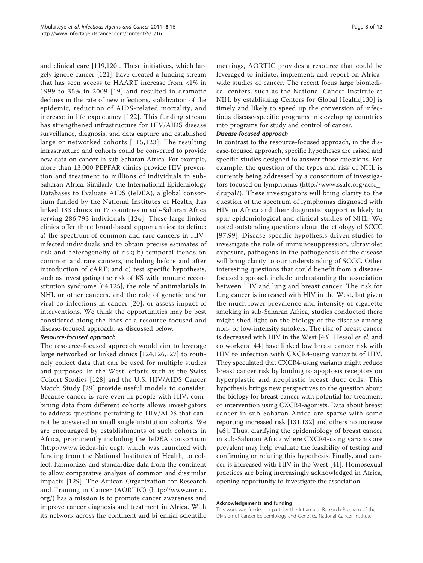and clinical care [\[119](#page-10-0),[120\]](#page-10-0). These initiatives, which largely ignore cancer [[121\]](#page-11-0), have created a funding stream that has seen access to HAART increase from <1% in 1999 to 35% in 2009 [[19](#page-8-0)] and resulted in dramatic declines in the rate of new infections, stabilization of the epidemic, reduction of AIDS-related mortality, and increase in life expectancy [[122](#page-11-0)]. This funding stream has strengthened infrastructure for HIV/AIDS disease surveillance, diagnosis, and data capture and established large or networked cohorts [[115](#page-10-0),[123\]](#page-11-0). The resulting infrastructure and cohorts could be converted to provide new data on cancer in sub-Saharan Africa. For example, more than 13,000 PEPFAR clinics provide HIV prevention and treatment to millions of individuals in sub-Saharan Africa. Similarly, the International Epidemiology Databases to Evaluate AIDS (IeDEA), a global consortium funded by the National Institutes of Health, has linked 183 clinics in 17 countries in sub-Saharan Africa serving 286,793 individuals [[124\]](#page-11-0). These large linked clinics offer three broad-based opportunities: to define: a) the spectrum of common and rare cancers in HIVinfected individuals and to obtain precise estimates of risk and heterogeneity of risk; b) temporal trends on common and rare cancers, including before and after introduction of cART; and c) test specific hypothesis, such as investigating the risk of KS with immune reconstitution syndrome [\[64](#page-9-0),[125\]](#page-11-0), the role of antimalarials in NHL or other cancers, and the role of genetic and/or viral co-infections in cancer [[20](#page-8-0)], or assess impact of interventions. We think the opportunities may be best considered along the lines of a resource-focused and disease-focused approach, as discussed below.

# Resource-focused approach

The resource-focused approach would aim to leverage large networked or linked clinics [[124,126,127\]](#page-11-0) to routinely collect data that can be used for multiple studies and purposes. In the West, efforts such as the Swiss Cohort Studies [[128](#page-11-0)] and the U.S. HIV/AIDS Cancer Match Study [[29\]](#page-8-0) provide useful models to consider. Because cancer is rare even in people with HIV, combining data from different cohorts allows investigators to address questions pertaining to HIV/AIDS that cannot be answered in small single institution cohorts. We are encouraged by establishments of such cohorts in Africa, prominently including the IeDEA consortium ([http://www.iedea-hiv.org\)](http://www.iedea-hiv.org), which was launched with funding from the National Institutes of Health, to collect, harmonize, and standardize data from the continent to allow comparative analysis of common and dissimilar impacts [[129](#page-11-0)]. The African Organization for Research and Training in Cancer (AORTIC) ([http://www.aortic.](http://www.aortic.org/) [org/\)](http://www.aortic.org/) has a mission is to promote cancer awareness and improve cancer diagnosis and treatment in Africa. With its network across the continent and bi-ennial scientific meetings, AORTIC provides a resource that could be leveraged to initiate, implement, and report on Africawide studies of cancer. The recent focus large biomedical centers, such as the National Cancer Institute at NIH, by establishing Centers for Global Health[[130](#page-11-0)] is timely and likely to speed up the conversion of infectious disease-specific programs in developing countries into programs for study and control of cancer.

### Disease-focused approach

In contrast to the resource-focused approach, in the disease-focused approach, specific hypotheses are raised and specific studies designed to answer those questions. For example, the question of the types and risk of NHL is currently being addressed by a consortium of investigators focused on lymphomas [\(http://www.ssalc.org/acsr\\_](http://www.ssalc.org/acsr_drupal/) [drupal/](http://www.ssalc.org/acsr_drupal/)). These investigators will bring clarity to the question of the spectrum of lymphomas diagnosed with HIV in Africa and their diagnostic support is likely to spur epidemiological and clinical studies of NHL. We noted outstanding questions about the etiology of SCCC [[97,99\]](#page-10-0). Disease-specific hypothesis-driven studies to investigate the role of immunosuppression, ultraviolet exposure, pathogens in the pathogenesis of the disease will bring clarity to our understanding of SCCC. Other interesting questions that could benefit from a diseasefocused approach include understanding the association between HIV and lung and breast cancer. The risk for lung cancer is increased with HIV in the West, but given the much lower prevalence and intensity of cigarette smoking in sub-Saharan Africa, studies conducted there might shed light on the biology of the disease among non- or low-intensity smokers. The risk of breast cancer is decreased with HIV in the West [\[43\]](#page-9-0). Hessol et al. and co workers [\[44](#page-9-0)] have linked low breast cancer risk with HIV to infection with CXCR4-using variants of HIV. They speculated that CXCR4-using variants might reduce breast cancer risk by binding to apoptosis receptors on hyperplastic and neoplastic breast duct cells. This hypothesis brings new perspectives to the question about the biology for breast cancer with potential for treatment or intervention using CXCR4-agonists. Data about breast cancer in sub-Saharan Africa are sparse with some reporting increased risk [[131,132\]](#page-11-0) and others no increase [[46](#page-9-0)]. Thus, clarifying the epidemiology of breast cancer in sub-Saharan Africa where CXCR4-using variants are prevalent may help evaluate the feasibility of testing and confirming or refuting this hypothesis. Finally, anal cancer is increased with HIV in the West [\[41](#page-9-0)]. Homosexual practices are being increasingly acknowledged in Africa, opening opportunity to investigate the association.

#### Acknowledgements and funding

This work was funded, in part, by the Intramural Research Program of the Division of Cancer Epidemiology and Genetics, National Cancer Institute,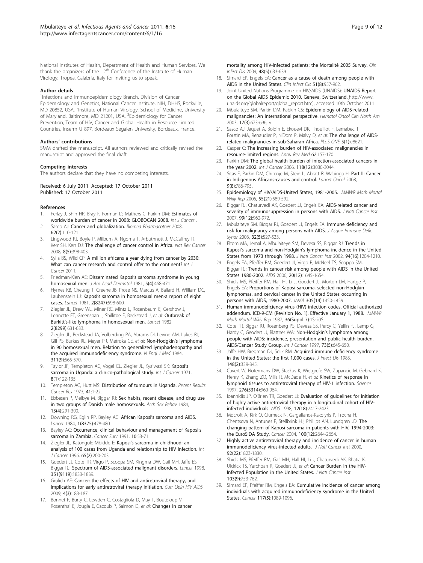<span id="page-8-0"></span>National Institutes of Health, Department of Health and Human Services. We thank the organizers of the  $12<sup>th</sup>$  Conference of the Institute of Human Virology, Tropea, Calabria, Italy for inviting us to speak.

#### Author details

<sup>1</sup>Infections and Immunoepidemiology Branch, Division of Cancer Epidemiology and Genetics, National Cancer Institute, NIH, DHHS, Rockville, MD 20852, USA. <sup>2</sup>Institute of Human Virology, School of Medicine, University of Maryland, Baltimore, MD 21201, USA. <sup>3</sup>Epidemiology for Cancer Prevention, Team of HIV, Cancer and Global Health in Resource Limited Countries, Inserm U 897, Bordeaux Segalen University, Bordeaux, France.

#### Authors' contributions

SMM drafted the manuscript. All authors reviewed and critically revised the manuscript and approved the final draft.

#### Competing interests

The authors declare that they have no competing interests.

#### Received: 6 July 2011 Accepted: 17 October 2011 Published: 17 October 2011

#### References

- 1. Ferlay J, Shin HR, Bray F, Forman D, Mathers C, Parkin DM: Estimates of worldwide burden of cancer in 2008: GLOBOCAN 2008. Int J Cancer .
- 2. Sasco AJ: [Cancer and globalization.](http://www.ncbi.nlm.nih.gov/pubmed/18180137?dopt=Abstract) Biomed Pharmacother 2008, 62(2):110-121.
- 3. Lingwood RJ, Boyle P, Milburn A, Ngoma T, Arbuthnott J, McCaffrey R, Kerr SH, Kerr DJ: [The challenge of cancer control in Africa.](http://www.ncbi.nlm.nih.gov/pubmed/18385682?dopt=Abstract) Nat Rev Cancer 2008, 8(5):398-403.
- 4. Sylla BS, Wild CP: A million africans a year dying from cancer by 2030: What can cancer research and control offer to the continent? Int J Cancer 2011.
- 5. Friedman-Kien AE: Disseminated Kaposi'[s sarcoma syndrome in young](http://www.ncbi.nlm.nih.gov/pubmed/7287964?dopt=Abstract) [homosexual men.](http://www.ncbi.nlm.nih.gov/pubmed/7287964?dopt=Abstract) J Am Acad Dermatol 1981, 5(4):468-471.
- 6. Hymes KB, Cheung T, Greene JB, Prose NS, Marcus A, Ballard H, William DC, Laubenstein LJ: Kaposi'[s sarcoma in homosexual men-a report of eight](http://www.ncbi.nlm.nih.gov/pubmed/6116083?dopt=Abstract) [cases.](http://www.ncbi.nlm.nih.gov/pubmed/6116083?dopt=Abstract) Lancet 1981, 2(8247):598-600.
- 7. Ziegler JL, Drew WL, Miner RC, Mintz L, Rosenbaum E, Gershow J, Lennette ET, Greenspan J, Shillitoe E, Beckstead J, et al: [Outbreak of](http://www.ncbi.nlm.nih.gov/pubmed/6125777?dopt=Abstract) Burkitt'[s-like lymphoma in homosexual men.](http://www.ncbi.nlm.nih.gov/pubmed/6125777?dopt=Abstract) Lancet 1982, 2(8299):631-633.
- Ziegler JL, Beckstead JA, Volberding PA, Abrams DI, Levine AM, Lukes RJ, Gill PS, Burkes RL, Meyer PR, Metroka CE, et al: [Non-Hodgkin](http://www.ncbi.nlm.nih.gov/pubmed/6611504?dopt=Abstract)'s lymphoma [in 90 homosexual men. Relation to generalized lymphadenopathy and](http://www.ncbi.nlm.nih.gov/pubmed/6611504?dopt=Abstract) [the acquired immunodeficiency syndrome.](http://www.ncbi.nlm.nih.gov/pubmed/6611504?dopt=Abstract) N Engl J Med 1984, 311(9):565-570.
- 9. Taylor JF, Templeton AC, Vogel CL, Ziegler JL, Kyalwazi SK: [Kaposi](http://www.ncbi.nlm.nih.gov/pubmed/5118203?dopt=Abstract)'s [sarcoma in Uganda: a clinico-pathological study.](http://www.ncbi.nlm.nih.gov/pubmed/5118203?dopt=Abstract) Int J Cancer 1971, 8(1):122-135.
- 10. Templeton AC, Hutt MS: [Distribution of tumours in Uganda.](http://www.ncbi.nlm.nih.gov/pubmed/4803974?dopt=Abstract) Recent Results Cancer Res 1973, 41:1-22.
- 11. Ebbesen P, Melbye M, Biggar RJ: [Sex habits, recent disease, and drug use](http://www.ncbi.nlm.nih.gov/pubmed/6548371?dopt=Abstract) [in two groups of Danish male homosexuals.](http://www.ncbi.nlm.nih.gov/pubmed/6548371?dopt=Abstract) Arch Sex Behav 1984, 13(4):291-300.
- 12. Downing RG, Eglin RP, Bayley AC: African Kaposi'[s sarcoma and AIDS.](http://www.ncbi.nlm.nih.gov/pubmed/6142209?dopt=Abstract) Lancet 1984, 1(8375):478-480.
- 13. Bayley AC: [Occurrence, clinical behaviour and management of Kaposi](http://www.ncbi.nlm.nih.gov/pubmed/1821324?dopt=Abstract)'s sarcoma [in Zambia.](http://www.ncbi.nlm.nih.gov/pubmed/1821324?dopt=Abstract) Cancer Surv 1991, 10:53-71.
- 14. Ziegler JL, Katongole-Mbidde E: Kaposi'[s sarcoma in childhood: an](http://www.ncbi.nlm.nih.gov/pubmed/8567117?dopt=Abstract) [analysis of 100 cases from Uganda and relationship to HIV infection.](http://www.ncbi.nlm.nih.gov/pubmed/8567117?dopt=Abstract) Int J Cancer 1996, 65(2):200-203.
- 15. Goedert JJ, Cote TR, Virgo P, Scoppa SM, Kingma DW, Gail MH, Jaffe ES, Biggar RJ: [Spectrum of AIDS-associated malignant disorders.](http://www.ncbi.nlm.nih.gov/pubmed/9652666?dopt=Abstract) Lancet 1998, 351(9119):1833-1839.
- 16. Grulich AE: [Cancer: the effects of HIV and antiretroviral therapy, and](http://www.ncbi.nlm.nih.gov/pubmed/19532048?dopt=Abstract) [implications for early antiretroviral therapy initiation.](http://www.ncbi.nlm.nih.gov/pubmed/19532048?dopt=Abstract) Curr Opin HIV AIDS 2009, 4(3):183-187.
- 17. Bonnet F, Burty C, Lewden C, Costagliola D, May T, Bouteloup V, Rosenthal E, Jougla E, Cacoub P, Salmon D, et al: [Changes in cancer](http://www.ncbi.nlm.nih.gov/pubmed/19202627?dopt=Abstract)

[mortality among HIV-infected patients: the Mortalité 2005 Survey.](http://www.ncbi.nlm.nih.gov/pubmed/19202627?dopt=Abstract) Clin Infect Dis 2009, 48(5):633-639.

- 18. Simard EP, Engels EA: Cancer as a cause of death among people with AIDS in the United States. Clin Infect Dis 51(8):957-962.
- 19. Joint United Nations Programme on HIV/AIDS (UNAIDS): UNAIDS Report on the Global AIDS Epidemic 2010, Geneva, Switzerland.[\[http://www.](http://www.unaids.org/globalreport/global_report.htm) [unaids.org/globalreport/global\\_report.htm](http://www.unaids.org/globalreport/global_report.htm)l, accessed 10th October 2011.
- 20. Mbulaiteye SM, Parkin DM, Rabkin CS: [Epidemiology of AIDS-related](http://www.ncbi.nlm.nih.gov/pubmed/12852650?dopt=Abstract) [malignancies: An international perspective.](http://www.ncbi.nlm.nih.gov/pubmed/12852650?dopt=Abstract) Hematol Oncol Clin North Am 2003, 17(3):673-696, v.
- 21. Sasco AJ, Jaquet A, Boidin E, Ekouevi DK, Thouillot F, Lemabec T, Forstin MA, Renaudier P, N'Dom P, Malvy D, et al: The challenge of AIDSrelated malignancies in sub-Saharan Africa. PLoS ONE 5(1):e8621.
- 22. Casper C: The increasing burden of HIV-associated malignancies in resource-limited regions. Annu Rev Med 62:157-170.
- 23. Parkin DM: [The global health burden of infection-associated cancers in](http://www.ncbi.nlm.nih.gov/pubmed/16404738?dopt=Abstract) [the year 2002.](http://www.ncbi.nlm.nih.gov/pubmed/16404738?dopt=Abstract) Int J Cancer 2006, 118(12):3030-3044.
- 24. Sitas F, Parkin DM, Chirenje M, Stein L, Abratt R, Wabinga H: [Part II: Cancer](http://www.ncbi.nlm.nih.gov/pubmed/18672214?dopt=Abstract) [in Indigenous Africans-causes and control.](http://www.ncbi.nlm.nih.gov/pubmed/18672214?dopt=Abstract) Lancet Oncol 2008, 9(8):786-795.
- 25. Epidemiology of HIV/AIDS-United States, 1981-2005. MMWR Morb Mortal Wkly Rep 2006, 55(21):589-592.
- 26. Biggar RJ, Chaturvedi AK, Goedert JJ, Engels EA: [AIDS-related cancer and](http://www.ncbi.nlm.nih.gov/pubmed/17565153?dopt=Abstract) [severity of immunosuppression in persons with AIDS.](http://www.ncbi.nlm.nih.gov/pubmed/17565153?dopt=Abstract) J Natl Cancer Inst 2007, 99(12):962-972.
- 27. Mbulaiteye SM, Biggar RJ, Goedert JJ, Engels EA: [Immune deficiency and](http://www.ncbi.nlm.nih.gov/pubmed/12679705?dopt=Abstract) [risk for malignancy among persons with AIDS.](http://www.ncbi.nlm.nih.gov/pubmed/12679705?dopt=Abstract) J Acquir Immune Defic Syndr 2003, 32(5):527-533.
- 28. Eltom MA, Jemal A, Mbulaiteye SM, Devesa SS, Biggar RJ: [Trends in](http://www.ncbi.nlm.nih.gov/pubmed/12189223?dopt=Abstract) Kaposi's sarcoma and non-Hodgkin'[s lymphoma incidence in the United](http://www.ncbi.nlm.nih.gov/pubmed/12189223?dopt=Abstract) [States from 1973 through 1998.](http://www.ncbi.nlm.nih.gov/pubmed/12189223?dopt=Abstract) J Natl Cancer Inst 2002, 94(16):1204-1210.
- Engels EA, Pfeiffer RM, Goedert JJ, Virgo P, McNeel TS, Scoppa SM Biggar RJ: [Trends in cancer risk among people with AIDS in the United](http://www.ncbi.nlm.nih.gov/pubmed/16868446?dopt=Abstract) [States 1980-2002.](http://www.ncbi.nlm.nih.gov/pubmed/16868446?dopt=Abstract) AIDS 2006, 20(12):1645-1654.
- Shiels MS, Pfeiffer RM, Hall HI, Li J, Goedert JJ, Morton LM, Hartge P, Engels EA: Proportions of Kaposi sarcoma, selected non-Hodgkin lymphomas, and cervical cancer in the United States occurring in persons with AIDS, 1980-2007. JAMA 305(14):1450-1459.
- 31. Human immunodeficiency virus (HIV) infection codes. Official authorized addendum. ICD-9-CM (Revision No. 1). Effective January 1, 1988. MMWR Morb Mortal Wkly Rep 1987, 36(Suppl 7):1S-20S.
- 32. Cote TR, Biggar RJ, Rosenberg PS, Devesa SS, Percy C, Yellin FJ, Lemp G, Hardy C, Geodert JJ, Blattner WA: Non-Hodgkin'[s lymphoma among](http://www.ncbi.nlm.nih.gov/pubmed/9398040?dopt=Abstract) [people with AIDS: incidence, presentation and public health burden.](http://www.ncbi.nlm.nih.gov/pubmed/9398040?dopt=Abstract) [AIDS/Cancer Study Group.](http://www.ncbi.nlm.nih.gov/pubmed/9398040?dopt=Abstract) Int J Cancer 1997, 73(5):645-650.
- 33. Jaffe HW, Bregman DJ, Selik RM: [Acquired immune deficiency syndrome](http://www.ncbi.nlm.nih.gov/pubmed/6604115?dopt=Abstract) [in the United States: the first 1,000 cases.](http://www.ncbi.nlm.nih.gov/pubmed/6604115?dopt=Abstract) *J Infect Dis* 1983, 148(2):339-345.
- 34. Cavert W, Notermans DW, Staskus K, Wietgrefe SW, Zupancic M, Gebhard K, Henry K, Zhang ZQ, Mills R, McDade H, et al: [Kinetics of response in](http://www.ncbi.nlm.nih.gov/pubmed/9139661?dopt=Abstract) [lymphoid tissues to antiretroviral therapy of HIV-1 infection.](http://www.ncbi.nlm.nih.gov/pubmed/9139661?dopt=Abstract) Science 1997, 276(5314):960-964.
- 35. Ioannidis JP, O'Brien TR, Goedert JJ: [Evaluation of guidelines for initiation](http://www.ncbi.nlm.nih.gov/pubmed/9875579?dopt=Abstract) [of highly active antiretroviral therapy in a longitudinal cohort of HIV](http://www.ncbi.nlm.nih.gov/pubmed/9875579?dopt=Abstract)[infected individuals.](http://www.ncbi.nlm.nih.gov/pubmed/9875579?dopt=Abstract) AIDS 1998, 12(18):2417-2423.
- 36. Mocroft A, Kirk O, Clumeck N, Gargalianos-Kakolyris P, Trocha H, Chentsova N, Antunes F, Stellbrink HJ, Phillips AN, Lundgren JD: [The](http://www.ncbi.nlm.nih.gov/pubmed/15197808?dopt=Abstract) [changing pattern of Kaposi sarcoma in patients with HIV, 1994-2003:](http://www.ncbi.nlm.nih.gov/pubmed/15197808?dopt=Abstract) [the EuroSIDA Study.](http://www.ncbi.nlm.nih.gov/pubmed/15197808?dopt=Abstract) Cancer 2004, 100(12):2644-2654.
- 37. Highly active antiretroviral therapy and incidence of cancer in human immunodeficiency virus-infected adults. J Natl Cancer Inst 2000, 92(22):1823-1830.
- 38. Shiels MS, Pfeiffer RM, Gail MH, Hall HI, Li J, Chaturvedi AK, Bhatia K, Uldrick TS, Yarchoan R, Goedert JJ, et al: Cancer Burden in the HIV-Infected Population in the United States. J Natl Cancer Inst 103(9):753-762.
- 39. Simard EP, Pfeiffer RM, Engels EA: Cumulative incidence of cancer among individuals with acquired immunodeficiency syndrome in the United States. Cancer 117(5):1089-1096.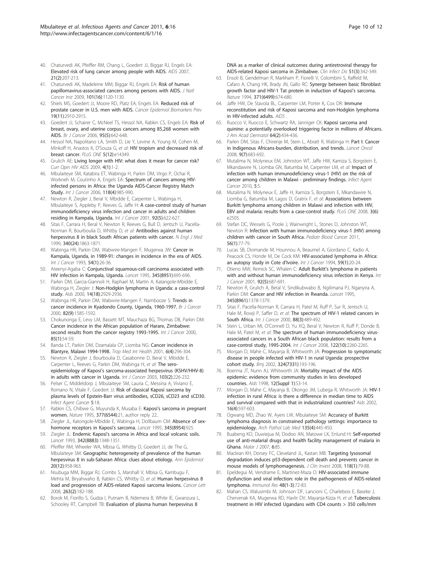- <span id="page-9-0"></span>40. Chaturvedi AK, Pfeiffer RM, Chang L, Goedert JJ, Biggar RJ, Engels EA: [Elevated risk of lung cancer among people with AIDS.](http://www.ncbi.nlm.nih.gov/pubmed/17197812?dopt=Abstract) AIDS 2007, 21(2):207-213.
- 41. Chaturvedi AK, Madeleine MM, Biggar RJ, Engels EA: [Risk of human](http://www.ncbi.nlm.nih.gov/pubmed/19648510?dopt=Abstract) [papillomavirus-associated cancers among persons with AIDS.](http://www.ncbi.nlm.nih.gov/pubmed/19648510?dopt=Abstract) J Natl Cancer Inst 2009, 101(16):1120-1130.
- 42. Shiels MS, Goedert JJ, Moore RD, Platz EA, Engels EA: Reduced risk of prostate cancer in U.S. men with AIDS. Cancer Epidemiol Biomarkers Prev 19(11):2910-2915.
- 43. Goedert JJ, Schairer C, McNeel TS, Hessol NA, Rabkin CS, Engels EA: [Risk of](http://www.ncbi.nlm.nih.gov/pubmed/16868538?dopt=Abstract) [breast, ovary, and uterine corpus cancers among 85,268 women with](http://www.ncbi.nlm.nih.gov/pubmed/16868538?dopt=Abstract) [AIDS.](http://www.ncbi.nlm.nih.gov/pubmed/16868538?dopt=Abstract) Br J Cancer 2006, 95(5):642-648.
- 44. Hessol NA, Napolitano LA, Smith D, Lie Y, Levine A, Young M, Cohen M, Minkoff H, Anastos K, D'Souza G, et al: HIV tropism and decreased risk of breast cancer. PLoS ONE 5(12):e14349.
- Grulich AE: [Living longer with HIV: what does it mean for cancer risk?](http://www.ncbi.nlm.nih.gov/pubmed/19339933?dopt=Abstract) Curr Opin HIV AIDS 2009, 4(1):1-2.
- 46. Mbulaiteye SM, Katabira ET, Wabinga H, Parkin DM, Virgo P, Ochai R, Workneh M, Coutinho A, Engels EA: [Spectrum of cancers among HIV](http://www.ncbi.nlm.nih.gov/pubmed/16106415?dopt=Abstract)[infected persons in Africa: the Uganda AIDS-Cancer Registry Match](http://www.ncbi.nlm.nih.gov/pubmed/16106415?dopt=Abstract) [Study.](http://www.ncbi.nlm.nih.gov/pubmed/16106415?dopt=Abstract) Int J Cancer 2006, 118(4):985-990.
- 47. Newton R, Ziegler J, Beral V, Mbidde E, Carpenter L, Wabinga H, Mbulaiteye S, Appleby P, Reeves G, Jaffe H: [A case-control study of human](http://www.ncbi.nlm.nih.gov/pubmed/11340563?dopt=Abstract) [immunodeficiency virus infection and cancer in adults and children](http://www.ncbi.nlm.nih.gov/pubmed/11340563?dopt=Abstract) [residing in Kampala, Uganda.](http://www.ncbi.nlm.nih.gov/pubmed/11340563?dopt=Abstract) Int J Cancer 2001, 92(5):622-627.
- 48. Sitas F, Carrara H, Beral V, Newton R, Reeves G, Bull D, Jentsch U, Pacella-Norman R, Bourboulia D, Whitby D, et al: [Antibodies against human](http://www.ncbi.nlm.nih.gov/pubmed/10369849?dopt=Abstract) [herpesvirus 8 in black South African patients with cancer.](http://www.ncbi.nlm.nih.gov/pubmed/10369849?dopt=Abstract) N Engl J Med 1999, 340(24):1863-1871.
- 49. Wabinga HR, Parkin DM, Wabwire-Mangen F, Mugerwa JW: [Cancer in](http://www.ncbi.nlm.nih.gov/pubmed/8478145?dopt=Abstract) [Kampala, Uganda, in 1989-91: changes in incidence in the era of AIDS.](http://www.ncbi.nlm.nih.gov/pubmed/8478145?dopt=Abstract) Int J Cancer 1993, 54(1):26-36.
- 50. Ateenyi-Agaba C: [Conjunctival squamous-cell carcinoma associated with](http://www.ncbi.nlm.nih.gov/pubmed/7885126?dopt=Abstract) [HIV infection in Kampala, Uganda.](http://www.ncbi.nlm.nih.gov/pubmed/7885126?dopt=Abstract) Lancet 1995, 345(8951):695-696.
- 51. Parkin DM, Garcia-Giannoli H, Raphael M, Martin A, Katangole-Mbidde E, Wabinga H, Ziegler J: [Non-Hodgkin lymphoma in Uganda: a case-control](http://www.ncbi.nlm.nih.gov/pubmed/11153674?dopt=Abstract) [study.](http://www.ncbi.nlm.nih.gov/pubmed/11153674?dopt=Abstract) Aids 2000, 14(18):2929-2936.
- 52. Wabinga HR, Parkin DM, Wabwire-Mangen F, Nambooze S: [Trends in](http://www.ncbi.nlm.nih.gov/pubmed/10789729?dopt=Abstract) [cancer incidence in Kyadondo County, Uganda, 1960-1997.](http://www.ncbi.nlm.nih.gov/pubmed/10789729?dopt=Abstract) Br J Cancer 2000, 82(9):1585-1592.
- 53. Chokunonga E, Levy LM, Bassett MT, Mauchaza BG, Thomas DB, Parkin DM: Cancer [incidence in the African population of Harare, Zimbabwe:](http://www.ncbi.nlm.nih.gov/pubmed/10585583?dopt=Abstract) [second results from the cancer registry 1993-1995.](http://www.ncbi.nlm.nih.gov/pubmed/10585583?dopt=Abstract) Int J Cancer 2000, 85(1):54-59.
- 54. Banda LT, Parkin DM, Dzamalala CP, Liomba NG: [Cancer incidence in](http://www.ncbi.nlm.nih.gov/pubmed/11348520?dopt=Abstract) [Blantyre, Malawi 1994-1998.](http://www.ncbi.nlm.nih.gov/pubmed/11348520?dopt=Abstract) Trop Med Int Health 2001, 6(4):296-304.
- 55. Newton R, Ziegler J, Bourboulia D, Casabonne D, Beral V, Mbidde E, Carpenter L, Reeves G, Parkin DM, Wabinga H, et al: [The sero](http://www.ncbi.nlm.nih.gov/pubmed/12455037?dopt=Abstract)epidemiology of Kaposi'[s sarcoma-associated herpesvirus \(KSHV/HHV-8\)](http://www.ncbi.nlm.nih.gov/pubmed/12455037?dopt=Abstract) [in adults with cancer in Uganda.](http://www.ncbi.nlm.nih.gov/pubmed/12455037?dopt=Abstract) Int J Cancer 2003, 103(2):226-232.
- 56. Pelser C, Middeldorp J, Mbulaiteye SM, Lauria C, Messina A, Viviano E, Romano N, Vitale F, Goedert JJ: Risk of classical Kaposi sarcoma by plasma levels of Epstein-Barr virus antibodies, sCD26, sCD23 and sCD30. Infect Agent Cancer 5:18.
- 57. Rabkin CS, Chibwe G, Muyunda K, Musaba E: Kaposi'[s sarcoma in pregnant](http://www.ncbi.nlm.nih.gov/pubmed/7659155?dopt=Abstract) [women.](http://www.ncbi.nlm.nih.gov/pubmed/7659155?dopt=Abstract) Nature 1995, 377(6544):21, author reply 22..
- 58. Ziegler JL, Katongole-Mbidde E, Wabinga H, Dollbaum CM: [Absence of sex](http://www.ncbi.nlm.nih.gov/pubmed/7707830?dopt=Abstract)[hormone receptors in Kaposi](http://www.ncbi.nlm.nih.gov/pubmed/7707830?dopt=Abstract)'s sarcoma. Lancet 1995, 345(8954):925.
- 59. Ziegler JL: Endemic Kaposi'[s sarcoma in Africa and local volcanic soils.](http://www.ncbi.nlm.nih.gov/pubmed/7901641?dopt=Abstract) Lancet 1993, 342(8883):1348-1351.
- 60. Pfeiffer RM, Wheeler WA, Mbisa G, Whitby D, Goedert JJ, de The G, Mbulaiteye SM: Geographic heterogeneity of prevalence of the human herpesvirus 8 in sub-Saharan Africa: clues about etiology. Ann Epidemiol 20(12):958-963.
- 61. Nsubuga MM, Biggar RJ, Combs S, Marshall V, Mbisa G, Kambugu F, Mehta M, Biryahwaho B, Rabkin CS, Whitby D, et al: [Human herpesvirus 8](http://www.ncbi.nlm.nih.gov/pubmed/18234418?dopt=Abstract) [load and progression of AIDS-related Kaposi sarcoma lesions.](http://www.ncbi.nlm.nih.gov/pubmed/18234418?dopt=Abstract) Cancer Lett 2008, 263(2):182-188.
- 62. Borok M, Fiorillo S, Gudza I, Putnam B, Ndemera B, White IE, Gwanzura L, Schooley RT, Campbell TB: Evaluation of plasma human herpesvirus 8

DNA as a marker of clinical outcomes during antiretroviral therapy for AIDS-related Kaposi sarcoma in Zimbabwe. Clin Infect Dis 51(3):342-349.

- 63. Ensoli B, Gendelman R, Markham P, Fiorelli V, Colombini S, Raffeld M, Cafaro A, Chang HK, Brady JN, Gallo RC: [Synergy between basic fibroblast](http://www.ncbi.nlm.nih.gov/pubmed/7935812?dopt=Abstract) [growth factor and HIV-1 Tat protein in induction of Kaposi](http://www.ncbi.nlm.nih.gov/pubmed/7935812?dopt=Abstract)'s sarcoma. Nature 1994, 371(6499):674-680.
- 64. Jaffe HW, De Stavola BL, Carpenter LM, Porter K, Cox DR: Immune reconstitution and risk of Kaposi sarcoma and non-Hodgkin lymphoma in HIV-infected adults. AIDS
- 65. Ruocco V, Ruocco E, Schwartz RA, Janniger CK: Kaposi sarcoma and quinine: a potentially overlooked triggering factor in millions of Africans. J Am Acad Dermatol 64(2):434-436.
- 66. Parkin DM, Sitas F, Chirenje M, Stein L, Abratt R, Wabinga H: [Part I: Cancer](http://www.ncbi.nlm.nih.gov/pubmed/18598933?dopt=Abstract) [in Indigenous Africans-burden, distribution, and trends.](http://www.ncbi.nlm.nih.gov/pubmed/18598933?dopt=Abstract) Lancet Oncol 2008, 9(7):683-692.
- 67. Mutalima N, Molyneux EM, Johnston WT, Jaffe HW, Kamiza S, Borgstein E, Mkandawire N, Liomba GN, Batumba M, Carpenter LM, et al: [Impact of](http://www.ncbi.nlm.nih.gov/pubmed/20152034?dopt=Abstract) [infection with human immunodeficiency virus-1 \(HIV\) on the risk of](http://www.ncbi.nlm.nih.gov/pubmed/20152034?dopt=Abstract) [cancer among children in Malawi - preliminary findings.](http://www.ncbi.nlm.nih.gov/pubmed/20152034?dopt=Abstract) Infect Agent Cancer 2010, 5:5.
- 68. Mutalima N, Molyneux E, Jaffe H, Kamiza S, Borgstein E, Mkandawire N, Liomba G, Batumba M, Lagos D, Gratrix F, et al: [Associations between](http://www.ncbi.nlm.nih.gov/pubmed/18560562?dopt=Abstract) [Burkitt lymphoma among children in Malawi and infection with HIV,](http://www.ncbi.nlm.nih.gov/pubmed/18560562?dopt=Abstract) [EBV and malaria: results from a case-control study.](http://www.ncbi.nlm.nih.gov/pubmed/18560562?dopt=Abstract) PLoS ONE 2008, 3(6): e2505.
- 69. Stefan DC, Wessels G, Poole J, Wainwright L, Stones D, Johnston WT, Newton R: [Infection with human immunodeficiency virus-1 \(HIV\) among](http://www.ncbi.nlm.nih.gov/pubmed/21110416?dopt=Abstract) [children with cancer in South Africa.](http://www.ncbi.nlm.nih.gov/pubmed/21110416?dopt=Abstract) Pediatr Blood Cancer 2011, 56(1):77-79.
- 70. Lucas SB, Diomande M, Hounnou A, Beaumel A, Giordano C, Kadio A, Peacock CS, Honde M, De Cock KM: [HIV-associated lymphoma in Africa:](http://www.ncbi.nlm.nih.gov/pubmed/7927898?dopt=Abstract) [an autopsy study in Cote d](http://www.ncbi.nlm.nih.gov/pubmed/7927898?dopt=Abstract)'Ivoire. Int J Cancer 1994, 59(1):20-24.
- 71. Otieno MW, Remick SC, Whalen C: Adult Burkitt'[s lymphoma in patients](http://www.ncbi.nlm.nih.gov/pubmed/11340573?dopt=Abstract) [with and without human immunodeficiency virus infection in Kenya.](http://www.ncbi.nlm.nih.gov/pubmed/11340573?dopt=Abstract) Int J Cancer 2001, 92(5):687-691.
- 72. Newton R, Grulich A, Beral V, Sindikubwabo B, Ngilimana PJ, Nganyira A, Parkin DM: [Cancer and HIV infection in Rwanda.](http://www.ncbi.nlm.nih.gov/pubmed/7752795?dopt=Abstract) Lancet 1995, 345(8961):1378-1379.
- Sitas F, Pacella-Norman R, Carrara H, Patel M, Ruff P, Sur R, Jentsch U, Hale M, Rowji P, Saffer D, et al: [The spectrum of HIV-1 related cancers in](http://www.ncbi.nlm.nih.gov/pubmed/11054682?dopt=Abstract) [South Africa.](http://www.ncbi.nlm.nih.gov/pubmed/11054682?dopt=Abstract) Int J Cancer 2000, 88(3):489-492.
- 74. Stein L, Urban MI, O'Connell D, Yu XQ, Beral V, Newton R, Ruff P, Donde B, Hale M, Patel M, et al: [The spectrum of human immunodeficiency virus](http://www.ncbi.nlm.nih.gov/pubmed/18241034?dopt=Abstract)[associated cancers in a South African black population: results from a](http://www.ncbi.nlm.nih.gov/pubmed/18241034?dopt=Abstract) [case-control study, 1995-2004.](http://www.ncbi.nlm.nih.gov/pubmed/18241034?dopt=Abstract) Int J Cancer 2008, 122(10):2260-2265.
- 75. Morgan D, Mahe C, Mayanja B, Whitworth JA: [Progression to symptomatic](http://www.ncbi.nlm.nih.gov/pubmed/11809639?dopt=Abstract) [disease in people infected with HIV-1 in rural Uganda: prospective](http://www.ncbi.nlm.nih.gov/pubmed/11809639?dopt=Abstract) [cohort study.](http://www.ncbi.nlm.nih.gov/pubmed/11809639?dopt=Abstract) Bmj 2002, 324(7331):193-196.
- 76. Boerma JT, Nunn AJ, Whitworth JA: [Mortality impact of the AIDS](http://www.ncbi.nlm.nih.gov/pubmed/9677185?dopt=Abstract) [epidemic: evidence from community studies in less developed](http://www.ncbi.nlm.nih.gov/pubmed/9677185?dopt=Abstract) [countries.](http://www.ncbi.nlm.nih.gov/pubmed/9677185?dopt=Abstract) Aids 1998, 12(Suppl 1):S3-14.
- 77. Morgan D, Mahe C, Mayanja B, Okongo JM, Lubega R, Whitworth JA: [HIV-1](http://www.ncbi.nlm.nih.gov/pubmed/11873003?dopt=Abstract) [infection in rural Africa: is there a difference in median time to AIDS](http://www.ncbi.nlm.nih.gov/pubmed/11873003?dopt=Abstract) [and survival compared with that in industrialized countries?](http://www.ncbi.nlm.nih.gov/pubmed/11873003?dopt=Abstract) Aids 2002, 16(4):597-603.
- 78. Ogwang MD, Zhao W, Ayers LW, Mbulaiteye SM: Accuracy of Burkitt lymphoma diagnosis in constrained pathology settings: importance to epidemiology. Arch Pathol Lab Med 135(4):445-450.
- 79. Buabeng KO, Duwiejua M, Dodoo AN, Matowe LK, Enlund H: [Self-reported](http://www.ncbi.nlm.nih.gov/pubmed/17605775?dopt=Abstract) [use of anti-malarial drugs and health facility management of malaria in](http://www.ncbi.nlm.nih.gov/pubmed/17605775?dopt=Abstract) [Ghana.](http://www.ncbi.nlm.nih.gov/pubmed/17605775?dopt=Abstract) Malar J 2007, 6:85.
- 80. Maclean KH, Dorsey FC, Cleveland JL, Kastan MB: [Targeting lysosomal](http://www.ncbi.nlm.nih.gov/pubmed/18097482?dopt=Abstract) [degradation induces p53-dependent cell death and prevents cancer in](http://www.ncbi.nlm.nih.gov/pubmed/18097482?dopt=Abstract) [mouse models of lymphomagenesis.](http://www.ncbi.nlm.nih.gov/pubmed/18097482?dopt=Abstract) J Clin Invest 2008, 118(1):79-88.
- Epeldegui M, Vendrame E, Martinez-Maza O: HIV-associated immune dysfunction and viral infection: role in the pathogenesis of AIDS-related lymphoma. Immunol Res 48(1-3):72-83.
- Mahan CS, Walusimbi M, Johnson DF, Lancioni C, Charlebois E, Baseke J, Chervenak KA, Mugerwa RD, Havlir DV, Mayanja-Kizza H, et al: Tuberculosis treatment in HIV infected Ugandans with CD4 counts > 350 cells/mm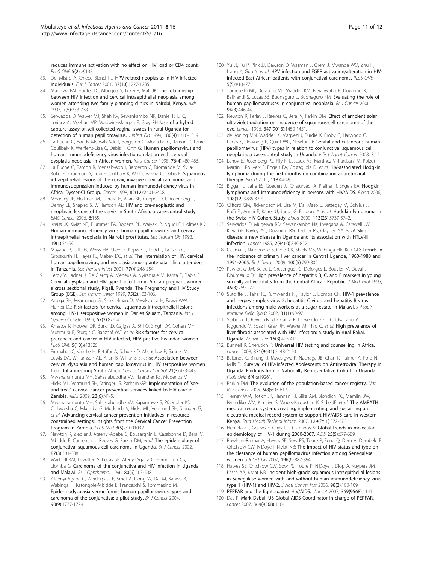<span id="page-10-0"></span>reduces immune activation with no effect on HIV load or CD4 count. PLoS ONE 5(2):e9138.

- 83. Del Mistro A, Chieco Bianchi L: [HPV-related neoplasias in HIV-infected](http://www.ncbi.nlm.nih.gov/pubmed/11423255?dopt=Abstract) [individuals.](http://www.ncbi.nlm.nih.gov/pubmed/11423255?dopt=Abstract) Eur J Cancer 2001, 37(10):1227-1235.
- 84. Maggwa BN, Hunter DJ, Mbugua S, Tukei P, Mati JK: [The relationship](http://www.ncbi.nlm.nih.gov/pubmed/8318180?dopt=Abstract) [between HIV infection and cervical intraepithelial neoplasia among](http://www.ncbi.nlm.nih.gov/pubmed/8318180?dopt=Abstract) [women attending two family planning clinics in Nairobi, Kenya.](http://www.ncbi.nlm.nih.gov/pubmed/8318180?dopt=Abstract) Aids 1993, 7(5):733-738.
- 85. Serwadda D, Wawer MJ, Shah KV, Sewankambo NK, Daniel R, Li C, Lorincz A, Meehan MP, Wabwire-Mangen F, Gray RH: [Use of a hybrid](http://www.ncbi.nlm.nih.gov/pubmed/10479163?dopt=Abstract) [capture assay of self-collected vaginal swabs in rural Uganda for](http://www.ncbi.nlm.nih.gov/pubmed/10479163?dopt=Abstract) [detection of human papillomavirus.](http://www.ncbi.nlm.nih.gov/pubmed/10479163?dopt=Abstract) J Infect Dis 1999, 180(4):1316-1319.
- 86. La Ruche G, You B, Mensah-Ado I, Bergeron C, Montcho C, Ramon R, Toure-Coulibaly K, Welffens-Ekra C, Dabis F, Orth G: [Human papillomavirus and](http://www.ncbi.nlm.nih.gov/pubmed/9590121?dopt=Abstract) [human immunodeficiency virus infections: relation with cervical](http://www.ncbi.nlm.nih.gov/pubmed/9590121?dopt=Abstract) [dysplasia-neoplasia in African women.](http://www.ncbi.nlm.nih.gov/pubmed/9590121?dopt=Abstract) Int J Cancer 1998, 76(4):480-486.
- 87. La Ruche G, Ramon R, Mensah-Ado I, Bergeron C, Diomande M, Sylla-Koko F, Ehouman A, Toure-Coulibaly K, Welffens-Ekra C, Dabis F: [Squamous](http://www.ncbi.nlm.nih.gov/pubmed/9635533?dopt=Abstract) [intraepithelial lesions of the cervix, invasive cervical carcinoma, and](http://www.ncbi.nlm.nih.gov/pubmed/9635533?dopt=Abstract) [immunosuppression induced by human immunodeficiency virus in](http://www.ncbi.nlm.nih.gov/pubmed/9635533?dopt=Abstract) [Africa. Dyscer-CI Group.](http://www.ncbi.nlm.nih.gov/pubmed/9635533?dopt=Abstract) Cancer 1998, 82(12):2401-2408.
- 88. Moodley JR, Hoffman M, Carrara H, Allan BR, Cooper DD, Rosenberg L, Denny LE, Shapiro S, Williamson AL: [HIV and pre-neoplastic and](http://www.ncbi.nlm.nih.gov/pubmed/16719902?dopt=Abstract) [neoplastic lesions of the cervix in South Africa: a case-control study.](http://www.ncbi.nlm.nih.gov/pubmed/16719902?dopt=Abstract) BMC Cancer 2006, 6:135.
- 89. Kreiss JK, Kiviat NB, Plummer FA, Roberts PL, Waiyaki P, Ngugi E, Holmes KK: [Human immunodeficiency virus, human papillomavirus, and cervical](http://www.ncbi.nlm.nih.gov/pubmed/1313992?dopt=Abstract) [intraepithelial neoplasia in Nairobi prostitutes.](http://www.ncbi.nlm.nih.gov/pubmed/1313992?dopt=Abstract) Sex Transm Dis 1992, 19(1):54-59.
- 90. Mayaud P, Gill DK, Weiss HA, Uledi E, Kopwe L, Todd J, ka-Gina G, Grosskurth H, Hayes RJ, Mabey DC, et al: [The interrelation of HIV, cervical](http://www.ncbi.nlm.nih.gov/pubmed/11463923?dopt=Abstract) [human papillomavirus, and neoplasia among antenatal clinic attenders](http://www.ncbi.nlm.nih.gov/pubmed/11463923?dopt=Abstract) [in Tanzania.](http://www.ncbi.nlm.nih.gov/pubmed/11463923?dopt=Abstract) Sex Transm Infect 2001, 77(4):248-254.
- 91. Leroy V, Ladner J, De Clercq A, Meheus A, Nyiraziraje M, Karita E, Dabis F: [Cervical dysplasia and HIV type 1 infection in African pregnant women:](http://www.ncbi.nlm.nih.gov/pubmed/10448362?dopt=Abstract) [a cross sectional study, Kigali, Rwanda. The Pregnancy and HIV Study](http://www.ncbi.nlm.nih.gov/pubmed/10448362?dopt=Abstract) [Group \(EGE\).](http://www.ncbi.nlm.nih.gov/pubmed/10448362?dopt=Abstract) Sex Transm Infect 1999, 75(2):103-106.
- 92. Kapiga SH, Msamanga GI, Spiegelman D, Mwakyoma H, Fawzi WW, Hunter DJ: [Risk factors for cervical squamous intraepithelial lesions](http://www.ncbi.nlm.nih.gov/pubmed/10636052?dopt=Abstract) [among HIV-1 seropositive women in Dar es Salaam, Tanzania.](http://www.ncbi.nlm.nih.gov/pubmed/10636052?dopt=Abstract) Int J Gynaecol Obstet 1999, 67(2):87-94.
- 93. Anastos K, Hoover DR, Burk RD, Cajigas A, Shi Q, Singh DK, Cohen MH, Mutimura E, Sturgis C, Banzhaf WC, et al: Risk factors for cervical precancer and cancer in HIV-infected, HPV-positive Rwandan women. PLoS ONE 5(10):e13525.
- 94. Firnhaber C, Van Le H, Pettifor A, Schulze D, Michelow P, Sanne IM, Lewis DA, Williamson AL, Allan B, Williams S, et al: Association between cervical dysplasia and human papillomavirus in HIV seropositive women from Johannesburg South Africa. Cancer Causes Control 21(3):433-443.
- 95. Mwanahamuntu MH, Sahasrabuddhe W, Pfaendler KS, Mudenda V, Hicks ML, Vermund SH, Stringer JS, Parham GP: [Implementation of](http://www.ncbi.nlm.nih.gov/pubmed/19279439?dopt=Abstract) 'seeand-treat' [cervical cancer prevention services linked to HIV care in](http://www.ncbi.nlm.nih.gov/pubmed/19279439?dopt=Abstract) [Zambia.](http://www.ncbi.nlm.nih.gov/pubmed/19279439?dopt=Abstract) AIDS 2009, 23(6):N1-5.
- 96. Mwanahamuntu MH, Sahasrabuddhe VV, Kapambwe S, Pfaendler KS, Chibwesha C, Mkumba G, Mudenda V, Hicks ML, Vermund SH, Stringer JS, et al: Advancing cervical cancer prevention initiatives in resourceconstrained settings: insights from the Cervical Cancer Prevention Program in Zambia. PLoS Med 8(5):e1001032.
- 97. Newton R, Ziegler J, Ateenyi-Agaba C, Bousarghin L, Casabonne D, Beral V, Mbidde E, Carpenter L, Reeves G, Parkin DM, et al: [The epidemiology of](http://www.ncbi.nlm.nih.gov/pubmed/12177799?dopt=Abstract) [conjunctival squamous cell carcinoma in Uganda.](http://www.ncbi.nlm.nih.gov/pubmed/12177799?dopt=Abstract) Br J Cancer 2002, 87(3):301-308.
- 98. Waddell KM, Lewallen S, Lucas SB, Atenyi-Agaba C, Herrington CS, Liomba G: [Carcinoma of the conjunctiva and HIV infection in Uganda](http://www.ncbi.nlm.nih.gov/pubmed/8759259?dopt=Abstract) [and Malawi.](http://www.ncbi.nlm.nih.gov/pubmed/8759259?dopt=Abstract) Br J Ophthalmol 1996, 80(6):503-508.
- 99. Ateenyi-Agaba C, Weiderpass E, Smet A, Dong W, Dai M, Kahwa B, Wabinga H, Katongole-Mbidde E, Franceschi S, Tommasino M: [Epidermodysplasia verruciformis human papillomavirus types and](http://www.ncbi.nlm.nih.gov/pubmed/15150602?dopt=Abstract) [carcinoma of the conjunctiva: a pilot study.](http://www.ncbi.nlm.nih.gov/pubmed/15150602?dopt=Abstract) Br J Cancer 2004, 90(9):1777-1779.
- 100. Yu JJ, Fu P, Pink JJ, Dawson D, Wasman J, Orem J, Mwanda WO, Zhu H, Liang X, Guo Y, et al: HPV infection and EGFR activation/alteration in HIVinfected East African patients with conjunctival carcinoma. PLoS ONE 5(5):e10477.
- 101. Tornesello ML, Duraturo ML, Waddell KM, Biryahwaho B, Downing R, Balinandi S, Lucas SB, Buonaguro L, Buonaguro FM: [Evaluating the role of](http://www.ncbi.nlm.nih.gov/pubmed/16404433?dopt=Abstract) [human papillomaviruses in conjunctival neoplasia.](http://www.ncbi.nlm.nih.gov/pubmed/16404433?dopt=Abstract) Br J Cancer 2006, 94(3):446-449.
- 102. Newton R, Ferlay J, Reeves G, Beral V, Parkin DM: [Effect of ambient solar](http://www.ncbi.nlm.nih.gov/pubmed/8676629?dopt=Abstract) [ultraviolet radiation on incidence of squamous-cell carcinoma of the](http://www.ncbi.nlm.nih.gov/pubmed/8676629?dopt=Abstract) [eye.](http://www.ncbi.nlm.nih.gov/pubmed/8676629?dopt=Abstract) Lancet 1996, 347(9013):1450-1451.
- 103. de Koning MN, Waddell K, Magyezi J, Purdie K, Proby C, Harwood C, Lucas S, Downing R, Quint WG, Newton R: [Genital and cutaneous human](http://www.ncbi.nlm.nih.gov/pubmed/18783604?dopt=Abstract) [papillomavirus \(HPV\) types in relation to conjunctival squamous cell](http://www.ncbi.nlm.nih.gov/pubmed/18783604?dopt=Abstract) [neoplasia: a case-control study in Uganda.](http://www.ncbi.nlm.nih.gov/pubmed/18783604?dopt=Abstract) Infect Agent Cancer 2008, 3:12.
- 104. Lanoy E, Rosenberg PS, Fily F, Lascaux AS, Martinez V, Partisani M, Poizot-Martin I, Rouveix E, Engels EA, Costagliola D, et al: [HIV-associated Hodgkin](http://www.ncbi.nlm.nih.gov/pubmed/21551234?dopt=Abstract) [lymphoma during the first months on combination antiretroviral](http://www.ncbi.nlm.nih.gov/pubmed/21551234?dopt=Abstract) [therapy.](http://www.ncbi.nlm.nih.gov/pubmed/21551234?dopt=Abstract) Blood 2011, 118:44-49.
- 105. Biggar RJ, Jaffe ES, Goedert JJ, Chaturvedi A, Pfeiffer R, Engels EA: [Hodgkin](http://www.ncbi.nlm.nih.gov/pubmed/16917006?dopt=Abstract) [lymphoma and immunodeficiency in persons with HIV/AIDS.](http://www.ncbi.nlm.nih.gov/pubmed/16917006?dopt=Abstract) Blood 2006, 108(12):3786-3791.
- 106. Clifford GM, Rickenbach M, Lise M, Dal Maso L, Battegay M, Bohlius J, Boffi El, Amari E, Karrer U, Jundt G, Bordoni A, et al: [Hodgkin lymphoma in](http://www.ncbi.nlm.nih.gov/pubmed/19336755?dopt=Abstract) [the Swiss HIV Cohort Study.](http://www.ncbi.nlm.nih.gov/pubmed/19336755?dopt=Abstract) Blood 2009, 113(23):5737-5742.
- 107. Serwadda D, Mugerwa RD, Sewankambo NK, Lwegaba A, Carswell JW, Kirya GB, Bayley AC, Downing RG, Tedder RS, Clayden SA, et al: [Slim](http://www.ncbi.nlm.nih.gov/pubmed/2864575?dopt=Abstract) [disease: a new disease in Uganda and its association with HTLV-III](http://www.ncbi.nlm.nih.gov/pubmed/2864575?dopt=Abstract) [infection.](http://www.ncbi.nlm.nih.gov/pubmed/2864575?dopt=Abstract) Lancet 1985, 2(8460):849-852.
- 108. Ocama P, Nambooze S, Opio CK, Shiels MS, Wabinga HR, Kirk GD: [Trends in](http://www.ncbi.nlm.nih.gov/pubmed/19174820?dopt=Abstract) [the incidence of primary liver cancer in Central Uganda, 1960-1980 and](http://www.ncbi.nlm.nih.gov/pubmed/19174820?dopt=Abstract) [1991-2005.](http://www.ncbi.nlm.nih.gov/pubmed/19174820?dopt=Abstract) Br J Cancer 2009, 100(5):799-802.
- 109. Pawlotsky JM, Belec L, Gresenguet G, Deforges L, Bouvier M, Duval J, Dhumeaux D: [High prevalence of hepatitis B, C, and E markers in young](http://www.ncbi.nlm.nih.gov/pubmed/7561802?dopt=Abstract) [sexually active adults from the Central African Republic.](http://www.ncbi.nlm.nih.gov/pubmed/7561802?dopt=Abstract) J Med Virol 1995, 46(3):269-272.
- 110. Sutcliffe S, Taha TE, Kumwenda NI, Taylor E, Liomba GN: [HIV-1 prevalence](http://www.ncbi.nlm.nih.gov/pubmed/12352155?dopt=Abstract) [and herpes simplex virus 2, hepatitis C virus, and hepatitis B virus](http://www.ncbi.nlm.nih.gov/pubmed/12352155?dopt=Abstract) [infections among male workers at a sugar estate in Malawi.](http://www.ncbi.nlm.nih.gov/pubmed/12352155?dopt=Abstract) J Acquir Immune Defic Syndr 2002, 31(1):90-97.
- 111. Stabinski L, Reynolds SJ, Ocama P, Laeyendecker O, Ndyanabo A, Kiggundu V, Boaz I, Gray RH, Wawer M, Thio C, et al: High prevalence of liver fibrosis associated with HIV infection: a study in rural Rakai, Uganda. Antivir Ther 16(3):405-411.
- 112. Bunnell R, Cherutich P: [Universal HIV testing and counselling in Africa.](http://www.ncbi.nlm.nih.gov/pubmed/18586156?dopt=Abstract) Lancet 2008, 371(9631):2148-2150.
- 113. Bakanda C, Birungi J, Mwesigwa R, Nachega JB, Chan K, Palmer A, Ford N, Mills EJ: Survival of HIV-Infected Adolescents on Antiretroviral Therapy in Uganda: Findings from a Nationally Representative Cohort in Uganda. PLoS ONE 6(4):e19261.
- 114. Parkin DM: [The evolution of the population-based cancer registry.](http://www.ncbi.nlm.nih.gov/pubmed/16862191?dopt=Abstract) Nat Rev Cancer 2006, 6(8):603-612.
- 115. Tierney WM, Rotich JK, Hannan TJ, Siika AM, Biondich PG, Mamlin BW, Nyandiko WM, Kimaiyo S, Wools-Kaloustian K, Sidle JE, et al: [The AMPATH](http://www.ncbi.nlm.nih.gov/pubmed/17911742?dopt=Abstract) [medical record system: creating, implementing, and sustaining an](http://www.ncbi.nlm.nih.gov/pubmed/17911742?dopt=Abstract) [electronic medical record system to support HIV/AIDS care in western](http://www.ncbi.nlm.nih.gov/pubmed/17911742?dopt=Abstract) [Kenya.](http://www.ncbi.nlm.nih.gov/pubmed/17911742?dopt=Abstract) Stud Health Technol Inform 2007, 129(Pt 1):372-376.
- 116. Hemelaar J, Gouws E, Ghys PD, Osmanov S: Global trends in molecular epidemiology of HIV-1 during 2000-2007. AIDS 25(5):679-689.
- 117. Rowhani-Rahbar A, Hawes SE, Sow PS, Toure P, Feng Q, Dem A, Dembele B, Critchlow CW, N'Doye I, Kiviat NB: [The impact of HIV status and type on](http://www.ncbi.nlm.nih.gov/pubmed/17703420?dopt=Abstract) [the clearance of human papillomavirus infection among Senegalese](http://www.ncbi.nlm.nih.gov/pubmed/17703420?dopt=Abstract) [women.](http://www.ncbi.nlm.nih.gov/pubmed/17703420?dopt=Abstract) J Infect Dis 2007, 196(6):887-894.
- 118. Hawes SE, Critchlow CW, Sow PS, Toure P, N'Doye I, Diop A, Kuypers JM, Kasse AA, Kiviat NB: [Incident high-grade squamous intraepithelial lesions](http://www.ncbi.nlm.nih.gov/pubmed/16418512?dopt=Abstract) [in Senegalese women with and without human immunodeficiency virus](http://www.ncbi.nlm.nih.gov/pubmed/16418512?dopt=Abstract) type [1 \(HIV-1\) and HIV-2.](http://www.ncbi.nlm.nih.gov/pubmed/16418512?dopt=Abstract) J Natl Cancer Inst 2006, 98(2):100-109.
- 119. PEPFAR and the fight against HIV/AIDS. Lancet 2007, 369(9568):1141.
- 120. Das P: [Mark Dybul: US Global AIDS Coordinator in charge of PEPFAR.](http://www.ncbi.nlm.nih.gov/pubmed/17416248?dopt=Abstract) Lancet 2007, 369(9568):1161.